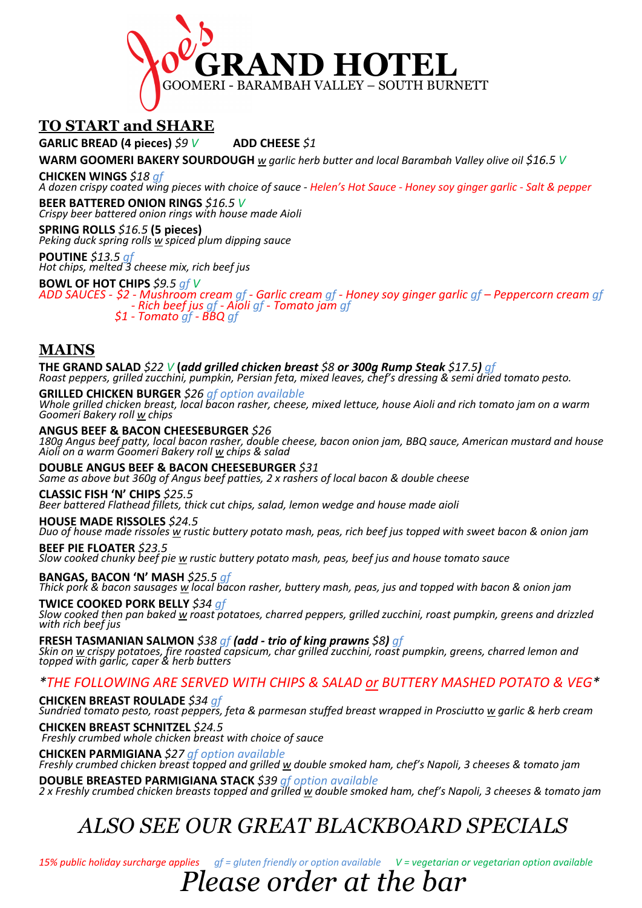

# **TO START and SHARE**

**GARLIC BREAD (4 pieces)** *\$9 V* **ADD CHEESE** *\$1*

**WARM GOOMERI BAKERY SOURDOUGH** *w garlic herb butter and local Barambah Valley olive oil \$16.5 V*

**CHICKEN WINGS** \$18 gf<br>A dozen crispy coated wing pieces with choice of sauce - Helen's Hot Sauce - Honey soy ginger garlic - Salt & pepper **BEER BATTERED ONION RINGS** *\$16.5 V*

*Crispy beer battered onion rings with house made Aioli* **SPRING ROLLS** *\$16.5* **(5 pieces)** *Peking duck spring rolls w spiced plum dipping sauce*

**POUTINE** *\$13.5 gf Hot chips, melted 3 cheese mix, rich beef jus*

**BOWL OF HOT CHIPS** *\$9.5 gf V*

ADD SAUCES - \$2 - Mushroom cream gf - Garlic cream gf - Honey soy ginger garlic gf – Peppercorn cream gf<br>Fich beef jus gf - Aioli gf - Tomato jam gf<br>\$1 - Tomato gf - BBQ gf

# **MAINS**

**THE GRAND SALAD** *\$22 V* **(***add grilled chicken breast \$8 or 300g Rump Steak \$17.5) gf Roast peppers, grilled zucchini, pumpkin, Persian feta, mixed leaves, chef's dressing & semi dried tomato pesto.*

**GRILLED CHICKEN BURGER** \$26 gf option available<br>Whole grilled chicken breast, local bacon rasher, cheese, mixed lettuce, house Aioli and rich tomato jam on a warm *Goomeri Bakery roll w chips*

**ANGUS BEEF & BACON CHEESEBURGER** *\$26*

*180g Angus beef patty, local bacon rasher, double cheese, bacon onion jam, BBQ sauce, American mustard and house Aioli on a warm Goomeri Bakery roll w chips & salad*

**DOUBLE ANGUS BEEF & BACON CHEESEBURGER** *\$31 Same as above but 360g of Angus beef patties, 2 x rashers of local bacon & double cheese*

### **CLASSIC FISH 'N' CHIPS** *\$25.5*

*Beer battered Flathead fillets, thick cut chips, salad, lemon wedge and house made aioli*

### **HOUSE MADE RISSOLES** *\$24.5*

*Duo of house made rissoles w rustic buttery potato mash, peas, rich beef jus topped with sweet bacon & onion jam*

**BEEF PIE FLOATER** *\$23.5*

*Slow cooked chunky beef pie w rustic buttery potato mash, peas, beef jus and house tomato sauce*

**BANGAS, BACON 'N' MASH** *\$25.5 gf Thick pork & bacon sausages <sup>w</sup> local bacon rasher, buttery mash, peas, jus and topped with bacon & onion jam*

**TWICE COOKED PORK BELLY** *\$34 gf Slow cooked then pan baked <sup>w</sup> roast potatoes, charred peppers, grilled zucchini, roast pumpkin, greens and drizzled with rich beef jus*

**FRESH TASMANIAN SALMON** \$38 gf **(add - trio of king prawns** \$8**)** gf<br>Skin on <u>w</u> crispy potatoes, fire roasted capsicum, char grilled zucchini, roast pumpkin, greens, charred lemon and *topped with garlic, caper & herb butters*

## *\*THE FOLLOWING ARE SERVED WITH CHIPS & SALAD or BUTTERY MASHED POTATO & VEG\**

**CHICKEN BREAST ROULADE** *\$34 gf Sundried tomato pesto, roast peppers, feta & parmesan stuffed breast wrapped in Prosciutto w garlic & herb cream*

**CHICKEN BREAST SCHNITZEL** *\$24.5 Freshly crumbed whole chicken breast with choice of sauce*

**CHICKEN PARMIGIANA** *\$27 gf option available Freshly crumbed chicken breast topped and grilled w double smoked ham, chef's Napoli, 3 cheeses & tomato jam*

**DOUBLE BREASTED PARMIGIANA STACK** *\$39 gf option available 2 x Freshly crumbed chicken breasts topped and grilled w double smoked ham, chef's Napoli, 3 cheeses & tomato jam*

# *ALSO SEE OUR GREAT BLACKBOARD SPECIALS*

*15% public holiday surcharge applies gf = gluten friendly or option available V = vegetarian or vegetarian option available*

# *Please order at the bar*